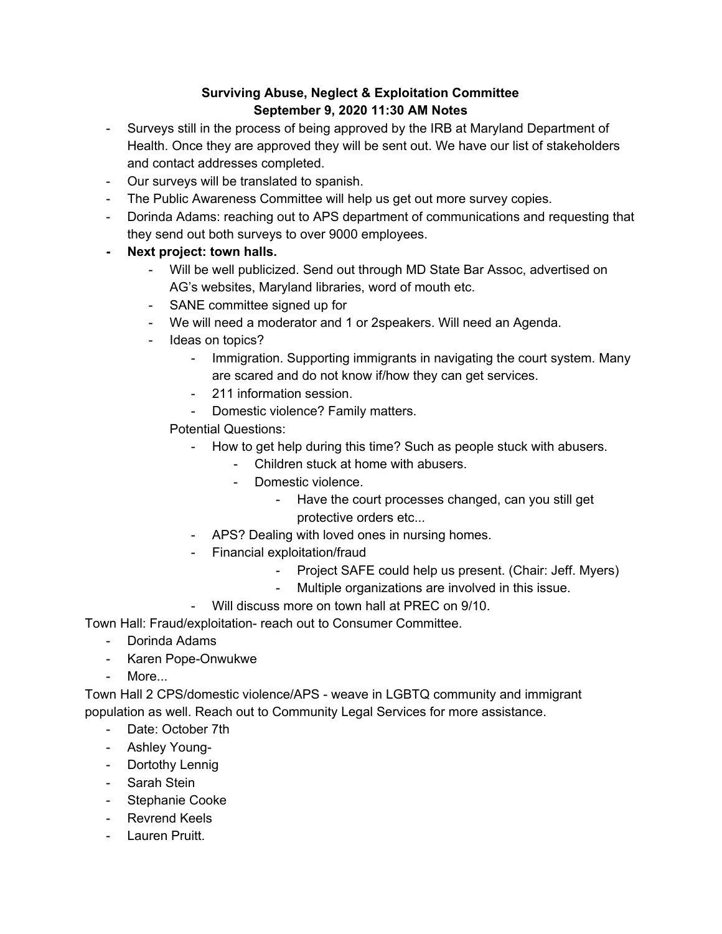## **Surviving Abuse, Neglect & Exploitation Committee September 9, 2020 11:30 AM Notes**

- Surveys still in the process of being approved by the IRB at Maryland Department of Health. Once they are approved they will be sent out. We have our list of stakeholders and contact addresses completed.
- Our surveys will be translated to spanish.
- The Public Awareness Committee will help us get out more survey copies.
- Dorinda Adams: reaching out to APS department of communications and requesting that they send out both surveys to over 9000 employees.
- **- Next project: town halls.**
	- Will be well publicized. Send out through MD State Bar Assoc, advertised on AG's websites, Maryland libraries, word of mouth etc.
	- SANE committee signed up for
	- We will need a moderator and 1 or 2speakers. Will need an Agenda.
	- Ideas on topics?
		- Immigration. Supporting immigrants in navigating the court system. Many are scared and do not know if/how they can get services.
		- 211 information session.
		- Domestic violence? Family matters.
		- Potential Questions:
			- How to get help during this time? Such as people stuck with abusers.
				- Children stuck at home with abusers.
				- Domestic violence.
					- Have the court processes changed, can you still get protective orders etc...
			- APS? Dealing with loved ones in nursing homes.
			- Financial exploitation/fraud
				- Project SAFE could help us present. (Chair: Jeff. Myers)
				- Multiple organizations are involved in this issue.
			- Will discuss more on town hall at PREC on 9/10.

Town Hall: Fraud/exploitation- reach out to Consumer Committee.

- Dorinda Adams
- Karen Pope-Onwukwe
- More...

Town Hall 2 CPS/domestic violence/APS - weave in LGBTQ community and immigrant population as well. Reach out to Community Legal Services for more assistance.

- Date: October 7th
- Ashley Young-
- Dortothy Lennig
- Sarah Stein
- Stephanie Cooke
- Revrend Keels
- Lauren Pruitt.